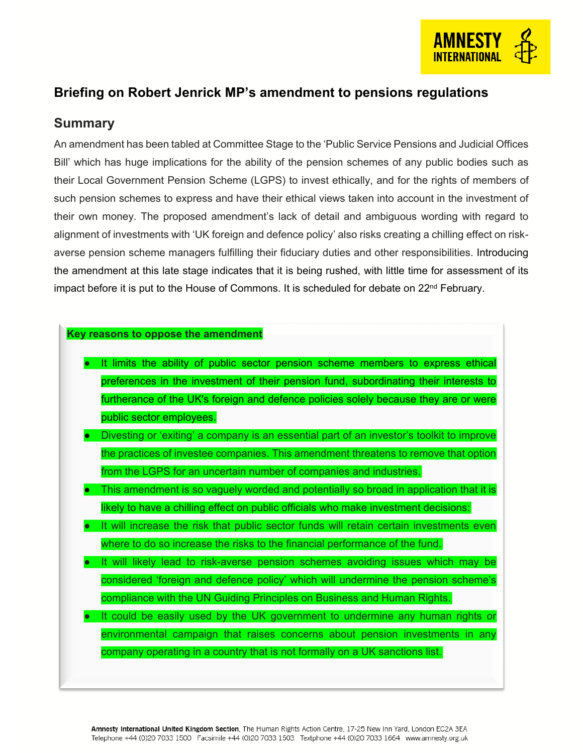

### **Briefing on Robert Jenrick MP's amendment to pensions regulations**

#### **Summary**

An amendment has been tabled at Committee Stage to the 'Public Service Pensions and Judicial Offices Bill' which has huge implications for the ability of the pension schemes of any public bodies such as their Local Government Pension Scheme (LGPS) to invest ethically, and for the rights of members of such pension schemes to express and have their ethical views taken into account in the investment of their own money. The proposed amendment's lack of detail and ambiguous wording with regard to alignment of investments with 'UK foreign and defence policy' also risks creating a chilling effect on riskaverse pension scheme managers fulfilling their fiduciary duties and other responsibilities. Introducing the amendment at this late stage indicates that it is being rushed, with little time for assessment of its impact before it is put to the House of Commons. It is scheduled for debate on 22<sup>nd</sup> February.

#### **Key reasons to oppose the amendment**

- It limits the ability of public sector pension scheme members to express ethical preferences in the investment of their pension fund, subordinating their interests to furtherance of the UK's foreign and defence policies solely because they are or were public sector employees.
- Divesting or 'exiting' a company is an essential part of an investor's toolkit to improve the practices of investee companies. This amendment threatens to remove that option from the LGPS for an uncertain number of companies and industries.
- This amendment is so vaguely worded and potentially so broad in application that it is likely to have a chilling effect on public officials who make investment decisions:
- It will increase the risk that public sector funds will retain certain investments even where to do so increase the risks to the financial performance of the fund.
- It will likely lead to risk-averse pension schemes avoiding issues which may be considered 'foreign and defence policy' which will undermine the pension scheme's compliance with the UN Guiding Principles on Business and Human Rights.
- It could be easily used by the UK government to undermine any human rights or environmental campaign that raises concerns about pension investments in any company operating in a country that is not formally on a UK sanctions list.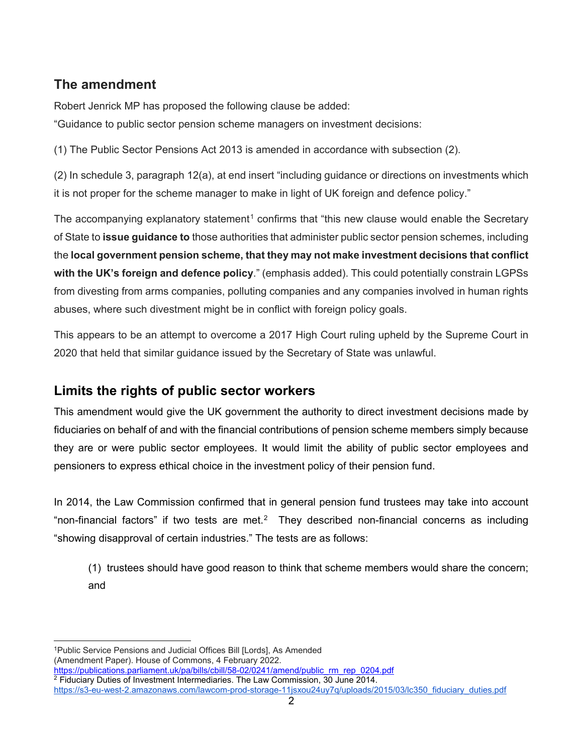# **The amendment**

Robert Jenrick MP has proposed the following clause be added: "Guidance to public sector pension scheme managers on investment decisions:

(1) The Public Sector Pensions Act 2013 is amended in accordance with subsection (2).

(2) In schedule 3, paragraph 12(a), at end insert "including guidance or directions on investments which it is not proper for the scheme manager to make in light of UK foreign and defence policy."

The accompanying explanatory statement<sup>[1](#page-1-0)</sup> confirms that "this new clause would enable the Secretary of State to **issue guidance to** those authorities that administer public sector pension schemes, including the **local government pension scheme, that they may not make investment decisions that conflict with the UK's foreign and defence policy**." (emphasis added). This could potentially constrain LGPSs from divesting from arms companies, polluting companies and any companies involved in human rights abuses, where such divestment might be in conflict with foreign policy goals.

This appears to be an attempt to overcome a 2017 High Court ruling upheld by the Supreme Court in 2020 that held that similar guidance issued by the Secretary of State was unlawful.

### **Limits the rights of public sector workers**

This amendment would give the UK government the authority to direct investment decisions made by fiduciaries on behalf of and with the financial contributions of pension scheme members simply because they are or were public sector employees. It would limit the ability of public sector employees and pensioners to express ethical choice in the investment policy of their pension fund.

In 2014, the Law Commission confirmed that in general pension fund trustees may take into account "non-financial factors" if two tests are met.<sup>[2](#page-1-1)</sup> They described non-financial concerns as including "showing disapproval of certain industries." The tests are as follows:

(1) trustees should have good reason to think that scheme members would share the concern; and

<span id="page-1-0"></span> $\overline{a}$ 1Public Service Pensions and Judicial Offices Bill [Lords], As Amended (Amendment Paper). House of Commons, 4 February 2022.<br>https://publications.parliament.uk/pa/bills/cbill/58-02/0241/amend/public rm rep 0204.pdf

<span id="page-1-1"></span> $\frac{1}{2}$  Fiduciary Duties of Investment Intermediaries. The Law Commission, 30 June 2014.

[https://s3-eu-west-2.amazonaws.com/lawcom-prod-storage-11jsxou24uy7q/uploads/2015/03/lc350\\_fiduciary\\_duties.pdf](https://s3-eu-west-2.amazonaws.com/lawcom-prod-storage-11jsxou24uy7q/uploads/2015/03/lc350_fiduciary_duties.pdf)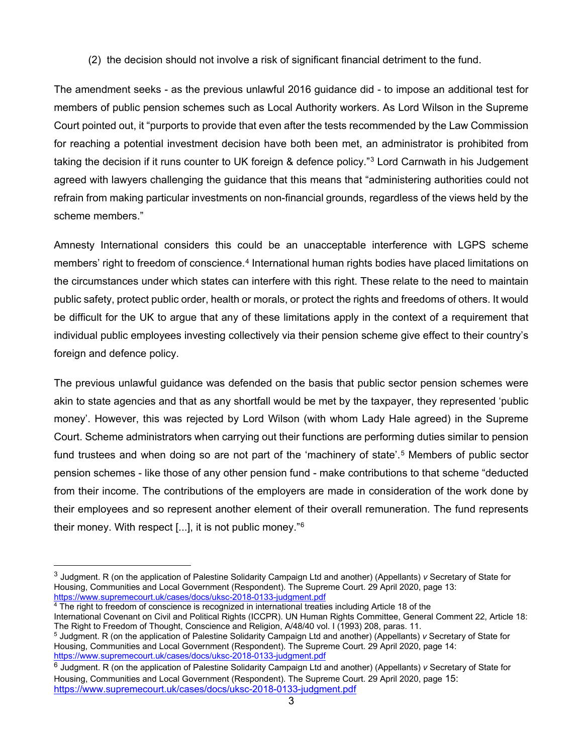(2) the decision should not involve a risk of significant financial detriment to the fund.

The amendment seeks - as the previous unlawful 2016 guidance did - to impose an additional test for members of public pension schemes such as Local Authority workers. As Lord Wilson in the Supreme Court pointed out, it "purports to provide that even after the tests recommended by the Law Commission for reaching a potential investment decision have both been met, an administrator is prohibited from taking the decision if it runs counter to UK foreign & defence policy."[3](#page-2-0) Lord Carnwath in his Judgement agreed with lawyers challenging the guidance that this means that "administering authorities could not refrain from making particular investments on non-financial grounds, regardless of the views held by the scheme members."

Amnesty International considers this could be an unacceptable interference with LGPS scheme members' right to freedom of conscience.<sup>[4](#page-2-1)</sup> International human rights bodies have placed limitations on the circumstances under which states can interfere with this right. These relate to the need to maintain public safety, protect public order, health or morals, or protect the rights and freedoms of others. It would be difficult for the UK to argue that any of these limitations apply in the context of a requirement that individual public employees investing collectively via their pension scheme give effect to their country's foreign and defence policy.

The previous unlawful guidance was defended on the basis that public sector pension schemes were akin to state agencies and that as any shortfall would be met by the taxpayer, they represented 'public money'. However, this was rejected by Lord Wilson (with whom Lady Hale agreed) in the Supreme Court. Scheme administrators when carrying out their functions are performing duties similar to pension fund trustees and when doing so are not part of the 'machinery of state'.<sup>[5](#page-2-2)</sup> Members of public sector pension schemes - like those of any other pension fund - make contributions to that scheme "deducted from their income. The contributions of the employers are made in consideration of the work done by their employees and so represent another element of their overall remuneration. The fund represents their money. With respect [...], it is not public money."[6](#page-2-3)

<span id="page-2-1"></span><sup>4</sup> The right to freedom of conscience is recognized in international treaties including Article 18 of the

 $\overline{a}$ 

<span id="page-2-0"></span><sup>3</sup> Judgment. R (on the application of Palestine Solidarity Campaign Ltd and another) (Appellants) *v* Secretary of State for Housing, Communities and Local Government (Respondent). The Supreme Court. 29 April 2020, page 13: <https://www.supremecourt.uk/cases/docs/uksc-2018-0133-judgment.pdf>

International Covenant on Civil and Political Rights (ICCPR). UN Human Rights Committee, General Comment 22, Article 18: The Right to Freedom of Thought, Conscience and Religion, A/48/40 vol. I (1993) 208, paras. 11.

<span id="page-2-2"></span><sup>5</sup> Judgment. R (on the application of Palestine Solidarity Campaign Ltd and another) (Appellants) *v* Secretary of State for Housing, Communities and Local Government (Respondent). The Supreme Court. 29 April 2020, page 14:<br>https://www.supremecourt.uk/cases/docs/uksc-2018-0133-judgment.pdf

<span id="page-2-3"></span><sup>&</sup>lt;sup>6</sup> Judgment. R (on the application of Palestine Solidarity Campaign Ltd and another) (Appellants) *v* Secretary of State for Housing, Communities and Local Government (Respondent). The Supreme Court. 29 April 2020, page 15: <https://www.supremecourt.uk/cases/docs/uksc-2018-0133-judgment.pdf>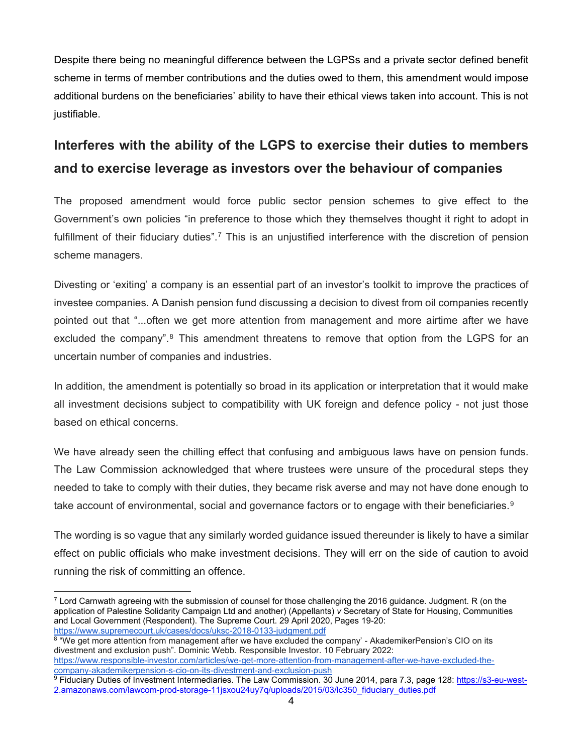Despite there being no meaningful difference between the LGPSs and a private sector defined benefit scheme in terms of member contributions and the duties owed to them, this amendment would impose additional burdens on the beneficiaries' ability to have their ethical views taken into account. This is not justifiable.

# **Interferes with the ability of the LGPS to exercise their duties to members and to exercise leverage as investors over the behaviour of companies**

The proposed amendment would force public sector pension schemes to give effect to the Government's own policies "in preference to those which they themselves thought it right to adopt in fulfillment of their fiduciary duties".<sup>[7](#page-3-0)</sup> This is an unjustified interference with the discretion of pension scheme managers.

Divesting or 'exiting' a company is an essential part of an investor's toolkit to improve the practices of investee companies. A Danish pension fund discussing a decision to divest from oil companies recently pointed out that "...often we get more attention from management and more airtime after we have excluded the company".<sup>[8](#page-3-1)</sup> This amendment threatens to remove that option from the LGPS for an uncertain number of companies and industries.

In addition, the amendment is potentially so broad in its application or interpretation that it would make all investment decisions subject to compatibility with UK foreign and defence policy - not just those based on ethical concerns.

We have already seen the chilling effect that confusing and ambiguous laws have on pension funds. The Law Commission acknowledged that where trustees were unsure of the procedural steps they needed to take to comply with their duties, they became risk averse and may not have done enough to take account of environmental, social and governance factors or to engage with their beneficiaries.<sup>9</sup>

The wording is so vague that any similarly worded guidance issued thereunder is likely to have a similar effect on public officials who make investment decisions. They will err on the side of caution to avoid running the risk of committing an offence.

<span id="page-3-0"></span> $\overline{a}$  $7$  Lord Carnwath agreeing with the submission of counsel for those challenging the 2016 guidance. Judgment. R (on the application of Palestine Solidarity Campaign Ltd and another) (Appellants) *v* Secretary of State for Housing, Communities and Local Government (Respondent). The Supreme Court. 29 April 2020, Pages 19-20: <https://www.supremecourt.uk/cases/docs/uksc-2018-0133-judgment.pdf>

<span id="page-3-1"></span><sup>&</sup>lt;sup>8</sup> "We get more attention from management after we have excluded the company' - AkademikerPension's CIO on its divestment and exclusion push". Dominic Webb. Responsible Investor. 10 February 2022: [https://www.responsible-investor.com/articles/we-get-more-attention-from-management-after-we-have-excluded-the-](https://www.responsible-investor.com/articles/we-get-more-attention-from-management-after-we-have-excluded-the-company-akademikerpension-s-cio-on-its-divestment-and-exclusion-push)

<span id="page-3-2"></span> $\overline{P}$  Fiduciary Duties of Investment Intermediaries. The Law Commission. 30 June 2014, para 7.3, page 128: [https://s3-eu-west-](https://s3-eu-west-2.amazonaws.com/lawcom-prod-storage-11jsxou24uy7q/uploads/2015/03/lc350_fiduciary_duties.pdf)[2.amazonaws.com/lawcom-prod-storage-11jsxou24uy7q/uploads/2015/03/lc350\\_fiduciary\\_duties.pdf](https://s3-eu-west-2.amazonaws.com/lawcom-prod-storage-11jsxou24uy7q/uploads/2015/03/lc350_fiduciary_duties.pdf)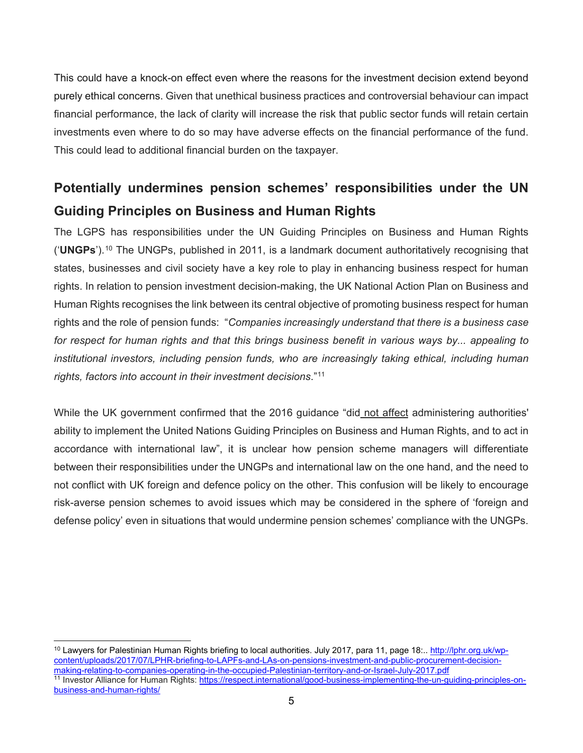This could have a knock-on effect even where the reasons for the investment decision extend beyond purely ethical concerns. Given that unethical business practices and controversial behaviour can impact financial performance, the lack of clarity will increase the risk that public sector funds will retain certain investments even where to do so may have adverse effects on the financial performance of the fund. This could lead to additional financial burden on the taxpayer.

# **Potentially undermines pension schemes' responsibilities under the UN Guiding Principles on Business and Human Rights**

The LGPS has responsibilities under the UN Guiding Principles on Business and Human Rights ('**UNGPs**').[1](#page-4-0)0 The UNGPs, published in 2011, is a landmark document authoritatively recognising that states, businesses and civil society have a key role to play in enhancing business respect for human rights. In relation to pension investment decision-making, the UK National Action Plan on Business and Human Rights recognises the link between its central objective of promoting business respect for human rights and the role of pension funds: "*Companies increasingly understand that there is a business case for respect for human rights and that this brings business benefit in various ways by... appealing to institutional investors, including pension funds, who are increasingly taking ethical, including human rights, factors into account in their investment decisions*."[1](#page-4-1)1

While the UK government confirmed that the 2016 guidance "did not affect administering authorities' ability to implement the United Nations Guiding Principles on Business and Human Rights, and to act in accordance with international law", it is unclear how pension scheme managers will differentiate between their responsibilities under the UNGPs and international law on the one hand, and the need to not conflict with UK foreign and defence policy on the other. This confusion will be likely to encourage risk-averse pension schemes to avoid issues which may be considered in the sphere of 'foreign and defense policy' even in situations that would undermine pension schemes' compliance with the UNGPs.

<span id="page-4-1"></span><span id="page-4-0"></span> $\overline{a}$ <sup>10</sup> Lawyers for Palestinian Human Rights briefing to local authorities. July 2017, para 11, page 18:.. <u>http://lphr.org.uk/wp-</u> [content/uploads/2017/07/LPHR-briefing-to-LAPFs-and-LAs-on-pensions-investment-and-public-procurement-decision](http://lphr.org.uk/wp-content/uploads/2017/07/LPHR-briefing-to-LAPFs-and-LAs-on-pensions-investment-and-public-procurement-decision-making-relating-to-companies-operating-in-the-occupied-Palestinian-territory-and-or-Israel-July-2017.pdf)<sup>11</sup> Investor Alliance for Human Rights: [https://respect.international/good-business-implementing-the-un-guiding-principles-on](https://respect.international/good-business-implementing-the-un-guiding-principles-on-business-and-human-rights/)[business-and-human-rights/](https://respect.international/good-business-implementing-the-un-guiding-principles-on-business-and-human-rights/)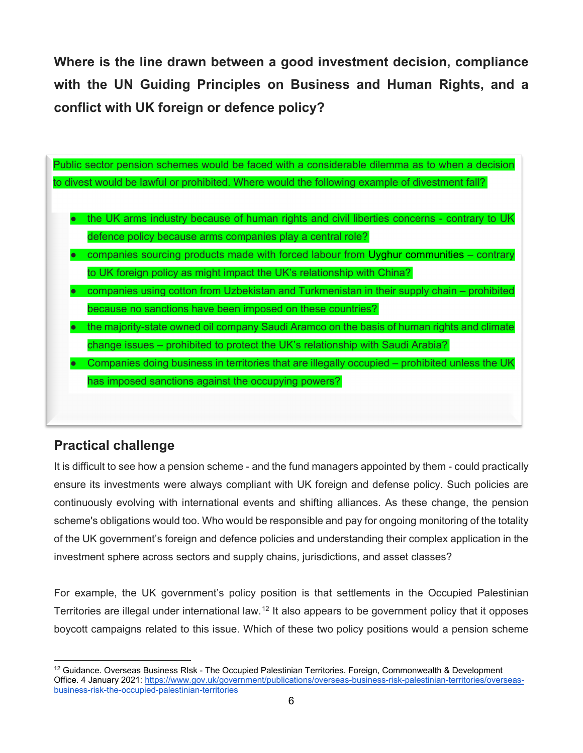**Where is the line drawn between a good investment decision, compliance with the UN Guiding Principles on Business and Human Rights, and a conflict with UK foreign or defence policy?**



# **Practical challenge**

It is difficult to see how a pension scheme - and the fund managers appointed by them - could practically ensure its investments were always compliant with UK foreign and defense policy. Such policies are continuously evolving with international events and shifting alliances. As these change, the pension scheme's obligations would too. Who would be responsible and pay for ongoing monitoring of the totality of the UK government's foreign and defence policies and understanding their complex application in the investment sphere across sectors and supply chains, jurisdictions, and asset classes?

For example, the UK government's policy position is that settlements in the Occupied Palestinian Territories are illegal under international law.[1](#page-5-0)2 It also appears to be government policy that it opposes boycott campaigns related to this issue. Which of these two policy positions would a pension scheme

<span id="page-5-0"></span> $\overline{a}$  $12$  Guidance. Overseas Business RIsk - The Occupied Palestinian Territories. Foreign, Commonwealth & Development Office. 4 January 2021: [https://www.gov.uk/government/publications/overseas-business-risk-palestinian-territories/overseas](https://www.gov.uk/government/publications/overseas-business-risk-palestinian-territories/overseas-business-risk-the-occupied-palestinian-territories)[business-risk-the-occupied-palestinian-territories](https://www.gov.uk/government/publications/overseas-business-risk-palestinian-territories/overseas-business-risk-the-occupied-palestinian-territories)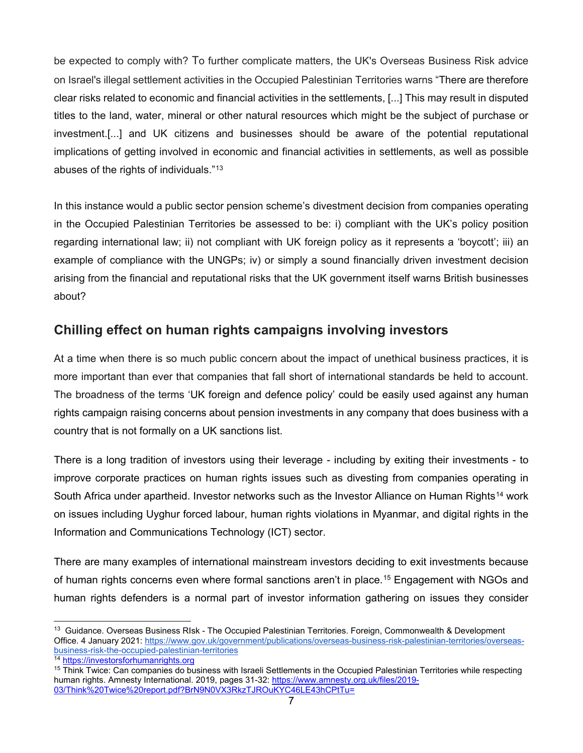be expected to comply with? To further complicate matters, the UK's Overseas Business Risk advice on Israel's illegal settlement activities in the Occupied Palestinian Territories warns "There are therefore clear risks related to economic and financial activities in the settlements, [...] This may result in disputed titles to the land, water, mineral or other natural resources which might be the subject of purchase or investment.[...] and UK citizens and businesses should be aware of the potential reputational implications of getting involved in economic and financial activities in settlements, as well as possible abuses of the rights of individuals."[13](#page-6-0)

In this instance would a public sector pension scheme's divestment decision from companies operating in the Occupied Palestinian Territories be assessed to be: i) compliant with the UK's policy position regarding international law; ii) not compliant with UK foreign policy as it represents a 'boycott'; iii) an example of compliance with the UNGPs; iv) or simply a sound financially driven investment decision arising from the financial and reputational risks that the UK government itself warns British businesses about?

### **Chilling effect on human rights campaigns involving investors**

At a time when there is so much public concern about the impact of unethical business practices, it is more important than ever that companies that fall short of international standards be held to account. The broadness of the terms 'UK foreign and defence policy' could be easily used against any human rights campaign raising concerns about pension investments in any company that does business with a country that is not formally on a UK sanctions list.

There is a long tradition of investors using their leverage - including by exiting their investments - to improve corporate practices on human rights issues such as divesting from companies operating in South Africa under apartheid. Investor networks such as the Investor Alliance on Human Rights<sup>[1](#page-6-1)4</sup> work on issues including Uyghur forced labour, human rights violations in Myanmar, and digital rights in the Information and Communications Technology (ICT) sector.

There are many examples of international mainstream investors deciding to exit investments because of human rights concerns even where formal sanctions aren't in place.[15](#page-6-2) Engagement with NGOs and human rights defenders is a normal part of investor information gathering on issues they consider

 $\ddot{\phantom{a}}$ 

<span id="page-6-0"></span><sup>&</sup>lt;sup>13</sup> Guidance. Overseas Business RIsk - The Occupied Palestinian Territories. Foreign, Commonwealth & Development Office. 4 January 2021: https://www.gov.uk/government/publications/overseas-business-risk-palestinian-territories/overseas-<br>business-risk-the-occupied-palestinian-territories

<span id="page-6-2"></span>

<span id="page-6-1"></span> $\frac{14 \text{ https://investorsforhuman rights.org}}{7 \text{ Think Twice: Can companies do business with Israel} Setlements in the Occupied Palestinian Territories while respectively.}$ human rights. Amnesty International. 2019, pages 31-32: [https://www.amnesty.org.uk/files/2019-](https://www.amnesty.org.uk/files/2019-03/Think%20Twice%20report.pdf?BrN9N0VX3RkzTJROuKYC46LE43hCPtTu=) [03/Think%20Twice%20report.pdf?BrN9N0VX3RkzTJROuKYC46LE43hCPtTu=](https://www.amnesty.org.uk/files/2019-03/Think%20Twice%20report.pdf?BrN9N0VX3RkzTJROuKYC46LE43hCPtTu=)